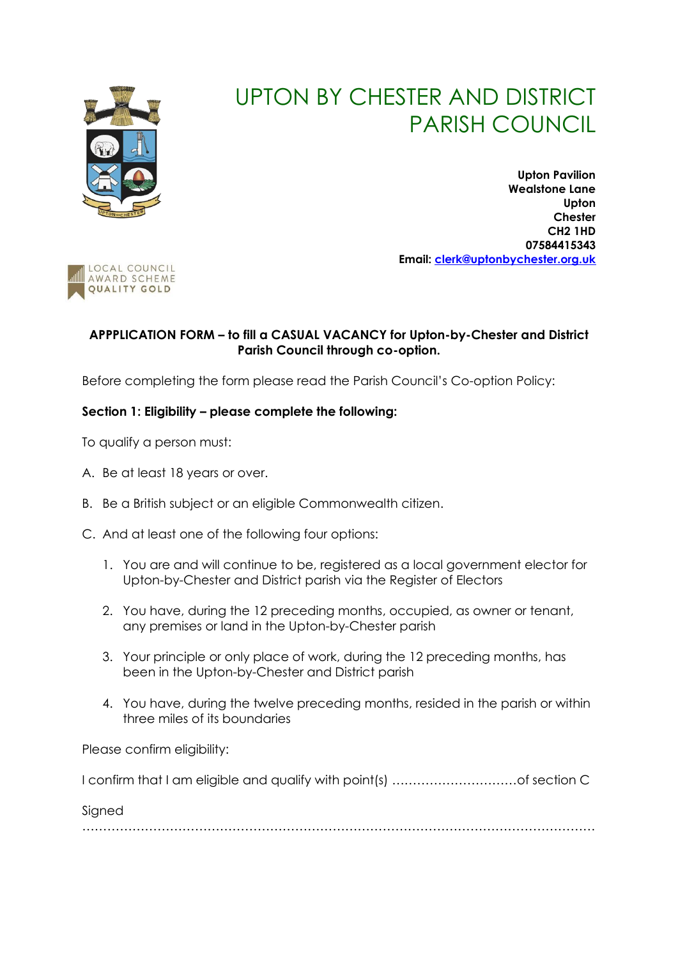

# UPTON BY CHESTER AND DISTRICT PARISH COUNCIL

**Upton Pavilion Wealstone Lane Upton Chester CH2 1HD 07584415343 Email: [clerk@uptonbychester.org.uk](mailto:clerk@uptonbychester.org.uk)**



## **APPPLICATION FORM – to fill a CASUAL VACANCY for Upton-by-Chester and District Parish Council through co-option.**

Before completing the form please read the Parish Council's Co-option Policy:

## **Section 1: Eligibility – please complete the following:**

To qualify a person must:

- A. Be at least 18 years or over.
- B. Be a British subject or an eligible Commonwealth citizen.
- C. And at least one of the following four options:
	- 1. You are and will continue to be, registered as a local government elector for Upton-by-Chester and District parish via the Register of Electors
	- 2. You have, during the 12 preceding months, occupied, as owner or tenant, any premises or land in the Upton-by-Chester parish
	- 3. Your principle or only place of work, during the 12 preceding months, has been in the Upton-by-Chester and District parish
	- 4. You have, during the twelve preceding months, resided in the parish or within three miles of its boundaries

Please confirm eligibility:

I confirm that I am eligible and qualify with point(s) …………………………of section C

Signed

……………………………………………………………………………………………………………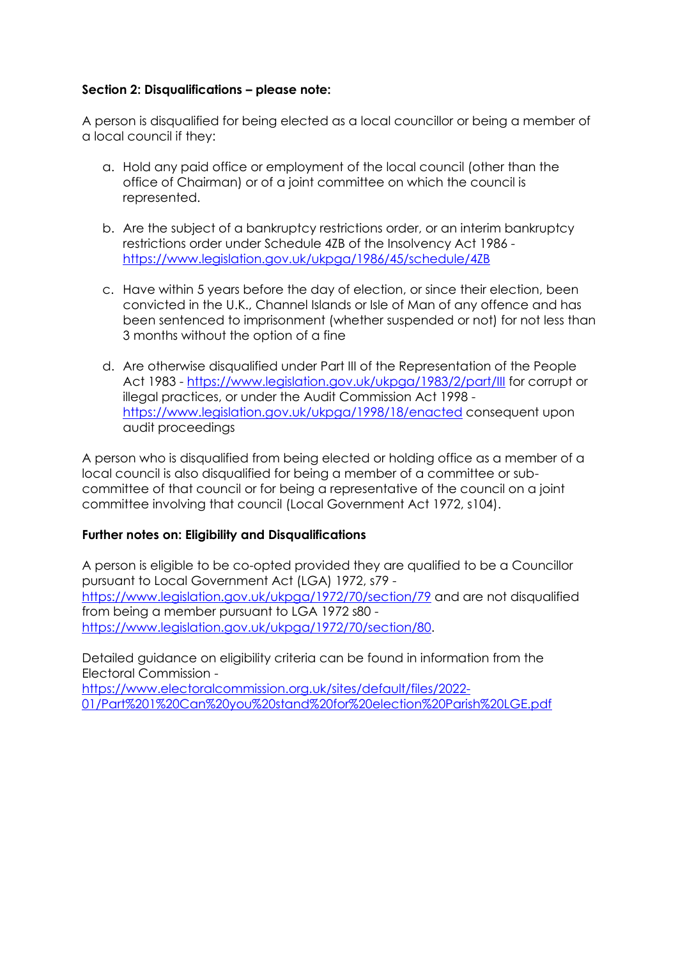### **Section 2: Disqualifications – please note:**

A person is disqualified for being elected as a local councillor or being a member of a local council if they:

- a. Hold any paid office or employment of the local council (other than the office of Chairman) or of a joint committee on which the council is represented.
- b. Are the subject of a bankruptcy restrictions order, or an interim bankruptcy restrictions order under Schedule 4ZB of the Insolvency Act 1986 <https://www.legislation.gov.uk/ukpga/1986/45/schedule/4ZB>
- c. Have within 5 years before the day of election, or since their election, been convicted in the U.K., Channel Islands or Isle of Man of any offence and has been sentenced to imprisonment (whether suspended or not) for not less than 3 months without the option of a fine
- d. Are otherwise disqualified under Part III of the Representation of the People Act 1983 - <https://www.legislation.gov.uk/ukpga/1983/2/part/III> for corrupt or illegal practices, or under the Audit Commission Act 1998 <https://www.legislation.gov.uk/ukpga/1998/18/enacted> consequent upon audit proceedings

A person who is disqualified from being elected or holding office as a member of a local council is also disqualified for being a member of a committee or subcommittee of that council or for being a representative of the council on a joint committee involving that council (Local Government Act 1972, s104).

### **Further notes on: Eligibility and Disqualifications**

A person is eligible to be co-opted provided they are qualified to be a Councillor pursuant to Local Government Act (LGA) 1972, s79 <https://www.legislation.gov.uk/ukpga/1972/70/section/79> and are not disqualified from being a member pursuant to LGA 1972 s80 [https://www.legislation.gov.uk/ukpga/1972/70/section/80.](https://www.legislation.gov.uk/ukpga/1972/70/section/80)

Detailed guidance on eligibility criteria can be found in information from the Electoral Commission -

[https://www.electoralcommission.org.uk/sites/default/files/2022-](https://www.electoralcommission.org.uk/sites/default/files/2022-01/Part%201%20Can%20you%20stand%20for%20election%20Parish%20LGE.pdf) [01/Part%201%20Can%20you%20stand%20for%20election%20Parish%20LGE.pdf](https://www.electoralcommission.org.uk/sites/default/files/2022-01/Part%201%20Can%20you%20stand%20for%20election%20Parish%20LGE.pdf)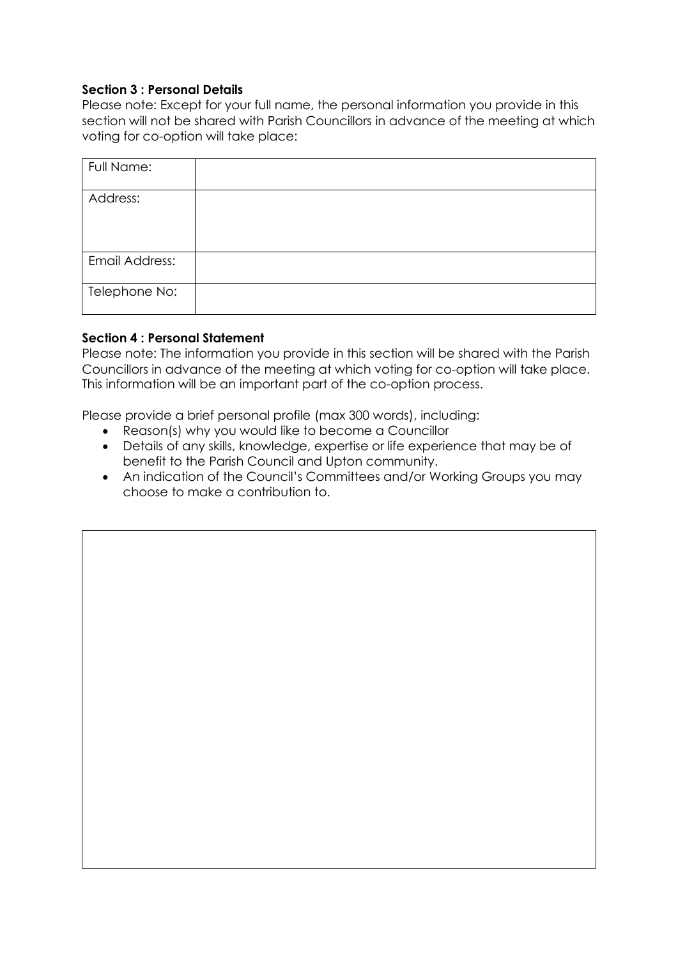### **Section 3 : Personal Details**

Please note: Except for your full name, the personal information you provide in this section will not be shared with Parish Councillors in advance of the meeting at which voting for co-option will take place:

| Full Name:     |  |
|----------------|--|
| Address:       |  |
| Email Address: |  |
| Telephone No:  |  |

#### **Section 4 : Personal Statement**

Please note: The information you provide in this section will be shared with the Parish Councillors in advance of the meeting at which voting for co-option will take place. This information will be an important part of the co-option process.

Please provide a brief personal profile (max 300 words), including:

- Reason(s) why you would like to become a Councillor
- Details of any skills, knowledge, expertise or life experience that may be of benefit to the Parish Council and Upton community.
- An indication of the Council's Committees and/or Working Groups you may choose to make a contribution to.